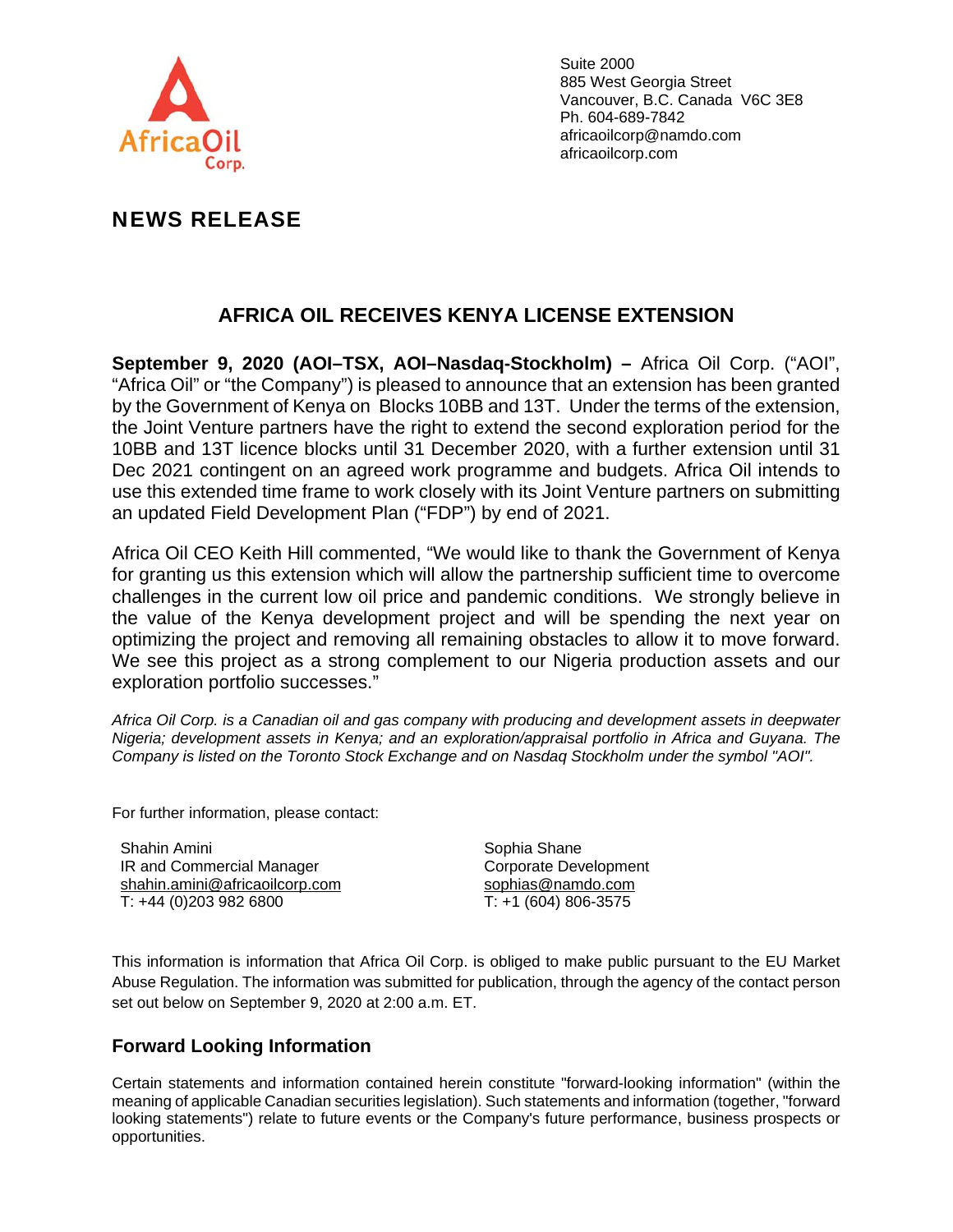

Suite 2000 885 West Georgia Street Vancouver, B.C. Canada V6C 3E8 Ph. 604-689-7842 africaoilcorp@namdo.com africaoilcorp.com

## NEWS RELEASE

## **AFRICA OIL RECEIVES KENYA LICENSE EXTENSION**

**September 9, 2020 (AOI–TSX, AOI–Nasdaq-Stockholm) –** Africa Oil Corp. ("AOI", "Africa Oil" or "the Company") is pleased to announce that an extension has been granted by the Government of Kenya on Blocks 10BB and 13T. Under the terms of the extension, the Joint Venture partners have the right to extend the second exploration period for the 10BB and 13T licence blocks until 31 December 2020, with a further extension until 31 Dec 2021 contingent on an agreed work programme and budgets. Africa Oil intends to use this extended time frame to work closely with its Joint Venture partners on submitting an updated Field Development Plan ("FDP") by end of 2021.

Africa Oil CEO Keith Hill commented, "We would like to thank the Government of Kenya for granting us this extension which will allow the partnership sufficient time to overcome challenges in the current low oil price and pandemic conditions. We strongly believe in the value of the Kenya development project and will be spending the next year on optimizing the project and removing all remaining obstacles to allow it to move forward. We see this project as a strong complement to our Nigeria production assets and our exploration portfolio successes."

*Africa Oil Corp. is a Canadian oil and gas company with producing and development assets in deepwater Nigeria; development assets in Kenya; and an exploration/appraisal portfolio in Africa and Guyana. The Company is listed on the Toronto Stock Exchange and on Nasdaq Stockholm under the symbol "AOI".* 

For further information, please contact:

Shahin Amini IR and Commercial Manager shahin.amini@africaoilcorp.com T: +44 (0)203 982 6800

Sophia Shane Corporate Development sophias@namdo.com T: +1 (604) 806-3575

This information is information that Africa Oil Corp. is obliged to make public pursuant to the EU Market Abuse Regulation. The information was submitted for publication, through the agency of the contact person set out below on September 9, 2020 at 2:00 a.m. ET.

## **Forward Looking Information**

Certain statements and information contained herein constitute "forward-looking information" (within the meaning of applicable Canadian securities legislation). Such statements and information (together, "forward looking statements") relate to future events or the Company's future performance, business prospects or opportunities.